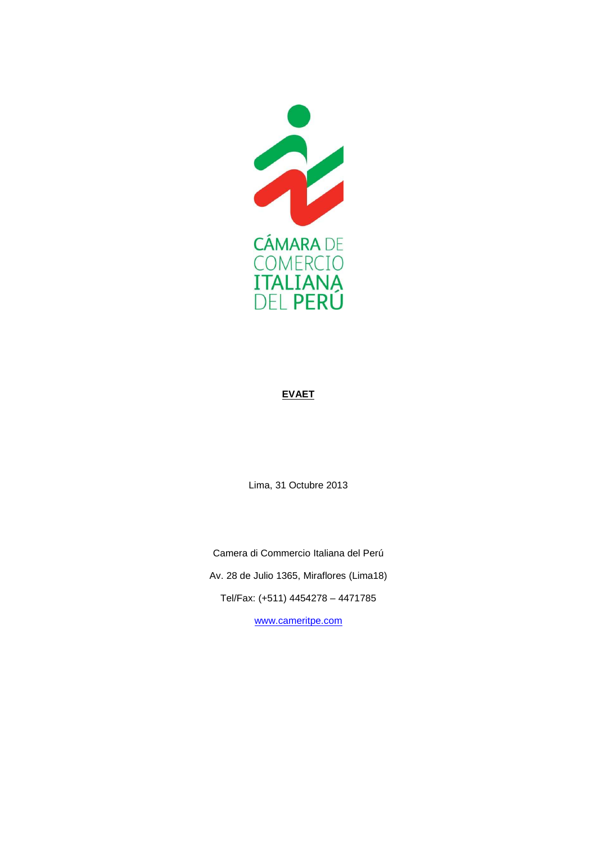

## **EVAET**

Lima, 31 Octubre 2013

Camera di Commercio Italiana del Perú Av. 28 de Julio 1365, Miraflores (Lima18) Tel/Fax: (+511) 4454278 – 4471785 www.cameritpe.com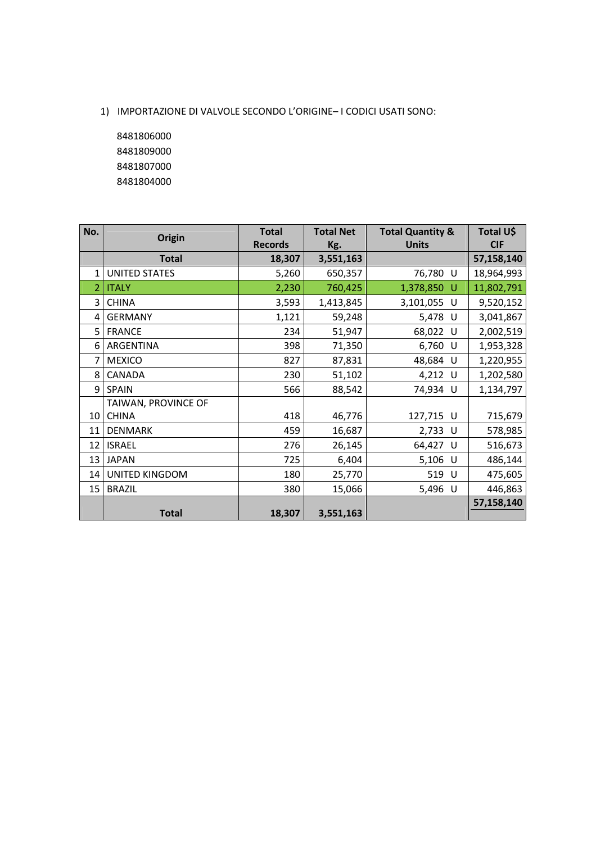1) IMPORTAZIONE DI VALVOLE SECONDO L'ORIGINE– I CODICI USATI SONO:

 8481806000 8481809000 8481807000 8481804000

| No.            | Origin               | <b>Total</b>   | <b>Total Net</b> | <b>Total Quantity &amp;</b> | Total U\$  |
|----------------|----------------------|----------------|------------------|-----------------------------|------------|
|                |                      | <b>Records</b> | Kg.              | <b>Units</b>                | <b>CIF</b> |
|                | <b>Total</b>         | 18,307         | 3,551,163        |                             | 57,158,140 |
| $\mathbf{1}$   | <b>UNITED STATES</b> | 5,260          | 650,357          | 76,780 U                    | 18,964,993 |
| $\overline{2}$ | <b>ITALY</b>         | 2,230          | 760,425          | 1,378,850 U                 | 11,802,791 |
| 3              | <b>CHINA</b>         | 3,593          | 1,413,845        | 3,101,055 U                 | 9,520,152  |
| 4              | <b>GERMANY</b>       | 1,121          | 59,248           | 5,478 U                     | 3,041,867  |
| 5              | <b>FRANCE</b>        | 234            | 51,947           | 68,022 U                    | 2,002,519  |
| 6              | ARGENTINA            | 398            | 71,350           | 6,760 U                     | 1,953,328  |
| 7              | <b>MEXICO</b>        | 827            | 87,831           | 48,684 U                    | 1,220,955  |
| 8              | CANADA               | 230            | 51,102           | 4,212 U                     | 1,202,580  |
| 9              | <b>SPAIN</b>         | 566            | 88,542           | 74,934 U                    | 1,134,797  |
|                | TAIWAN, PROVINCE OF  |                |                  |                             |            |
| 10             | <b>CHINA</b>         | 418            | 46,776           | 127,715 U                   | 715,679    |
| 11             | <b>DENMARK</b>       | 459            | 16,687           | 2,733 U                     | 578,985    |
| 12             | <b>ISRAEL</b>        | 276            | 26,145           | 64,427 U                    | 516,673    |
| 13             | <b>JAPAN</b>         | 725            | 6,404            | 5,106 U                     | 486,144    |
| 14             | UNITED KINGDOM       | 180            | 25,770           | 519 U                       | 475,605    |
| 15             | <b>BRAZIL</b>        | 380            | 15,066           | 5,496 U                     | 446,863    |
|                |                      |                |                  |                             | 57,158,140 |
|                | <b>Total</b>         | 18,307         | 3,551,163        |                             |            |